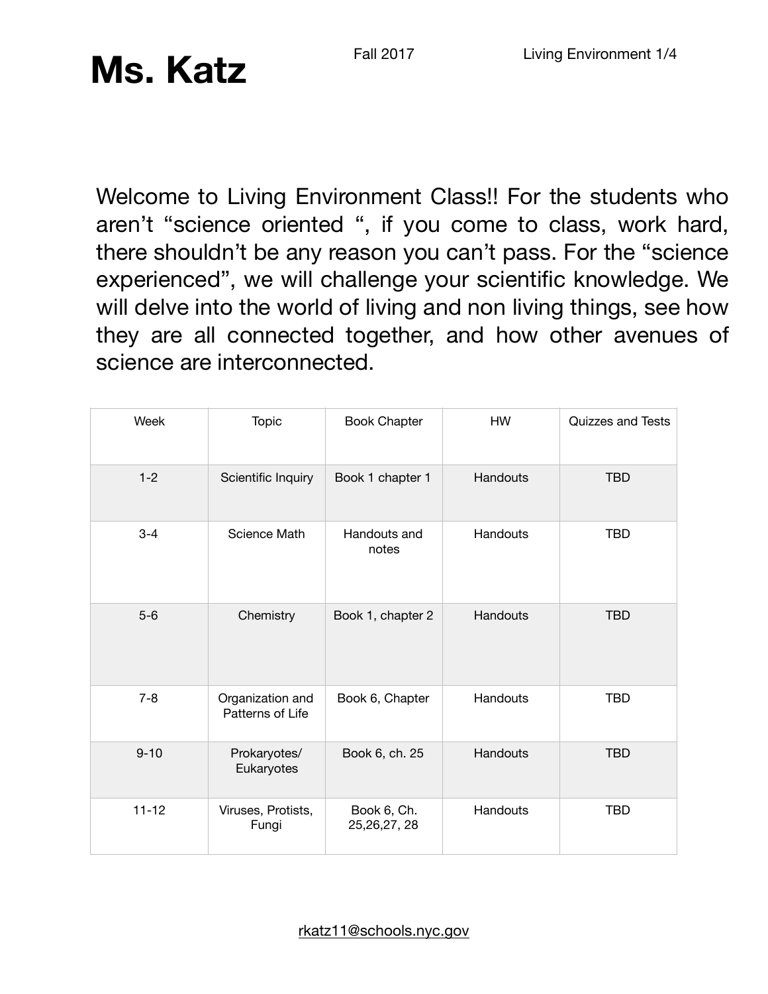Welcome to Living Environment Class!! For the students who aren't "science oriented ", if you come to class, work hard, there shouldn't be any reason you can't pass. For the "science experienced", we will challenge your scientific knowledge. We will delve into the world of living and non living things, see how they are all connected together, and how other avenues of science are interconnected.

| Week      | Topic                                | <b>Book Chapter</b>           | HW       | <b>Quizzes and Tests</b> |
|-----------|--------------------------------------|-------------------------------|----------|--------------------------|
| $1 - 2$   | Scientific Inquiry                   | Book 1 chapter 1              | Handouts | <b>TBD</b>               |
| $3 - 4$   | Science Math                         | Handouts and<br>notes         | Handouts | <b>TBD</b>               |
| $5-6$     | Chemistry                            | Book 1, chapter 2             | Handouts | <b>TBD</b>               |
| $7 - 8$   | Organization and<br>Patterns of Life | Book 6, Chapter               | Handouts | <b>TBD</b>               |
| $9 - 10$  | Prokaryotes/<br>Eukaryotes           | Book 6, ch. 25                | Handouts | <b>TBD</b>               |
| $11 - 12$ | Viruses, Protists,<br>Fungi          | Book 6, Ch.<br>25, 26, 27, 28 | Handouts | <b>TBD</b>               |

[rkatz11@schools.nyc.gov](mailto:rkatz11@schools.nyc.gov)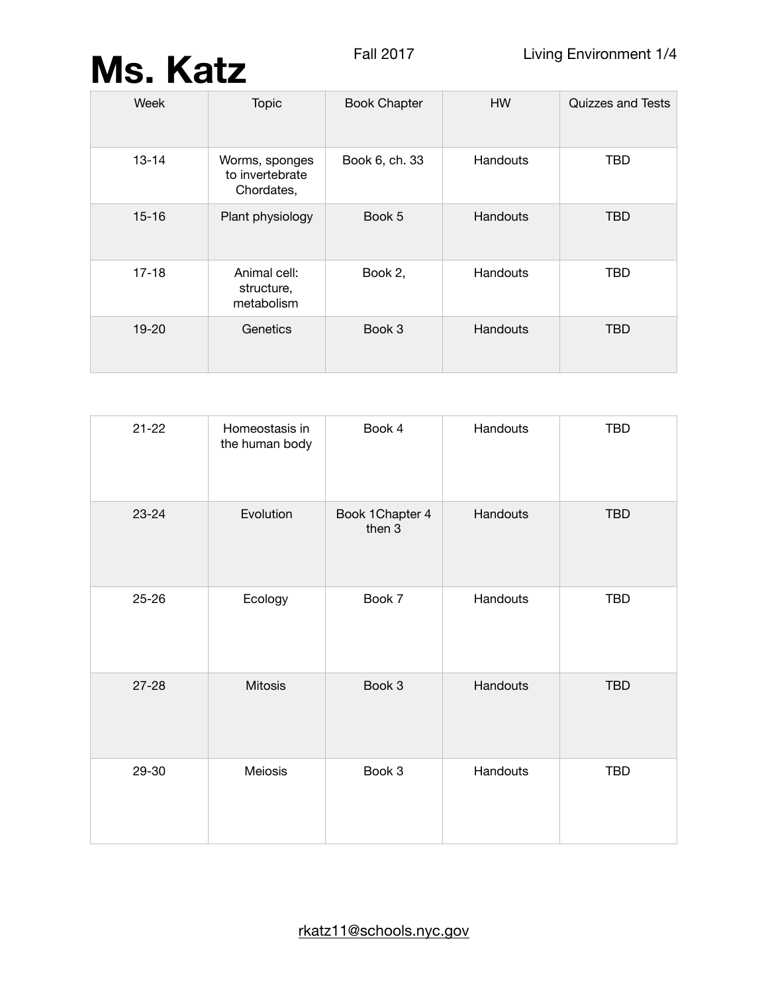| Week      | <b>Topic</b>                                    | <b>Book Chapter</b> | <b>HW</b> | Quizzes and Tests |
|-----------|-------------------------------------------------|---------------------|-----------|-------------------|
| $13 - 14$ | Worms, sponges<br>to invertebrate<br>Chordates, | Book 6, ch. 33      | Handouts  | <b>TBD</b>        |
| $15 - 16$ | Plant physiology                                | Book 5              | Handouts  | <b>TBD</b>        |
| $17 - 18$ | Animal cell:<br>structure,<br>metabolism        | Book 2,             | Handouts  | <b>TBD</b>        |
| 19-20     | Genetics                                        | Book 3              | Handouts  | <b>TBD</b>        |

| $21 - 22$ | Homeostasis in<br>the human body | Book 4                    | Handouts | <b>TBD</b> |
|-----------|----------------------------------|---------------------------|----------|------------|
| 23-24     | Evolution                        | Book 1Chapter 4<br>then 3 | Handouts | <b>TBD</b> |
| $25 - 26$ | Ecology                          | Book 7                    | Handouts | <b>TBD</b> |
| $27 - 28$ | <b>Mitosis</b>                   | Book 3                    | Handouts | <b>TBD</b> |
| 29-30     | Meiosis                          | Book 3                    | Handouts | <b>TBD</b> |

[rkatz11@schools.nyc.gov](mailto:rkatz11@schools.nyc.gov)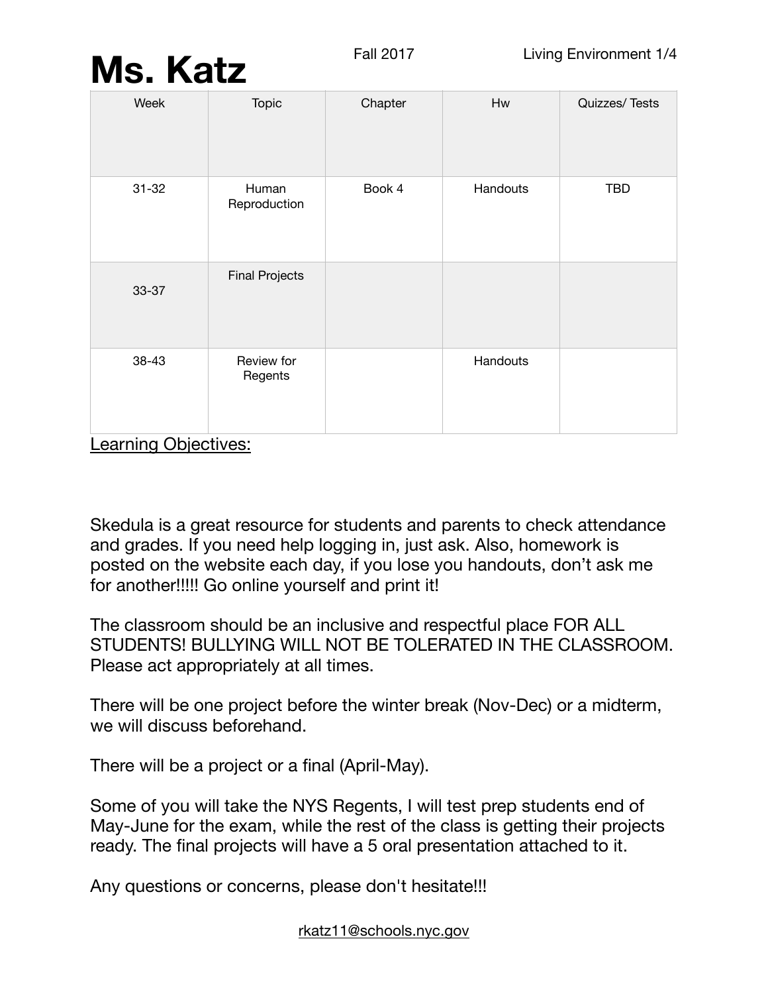| Week      | <b>Topic</b>          | Chapter | Hw       | Quizzes/Tests |
|-----------|-----------------------|---------|----------|---------------|
| $31 - 32$ | Human<br>Reproduction | Book 4  | Handouts | <b>TBD</b>    |
| 33-37     | <b>Final Projects</b> |         |          |               |
| 38-43     | Review for<br>Regents |         | Handouts |               |

Learning Objectives:

Skedula is a great resource for students and parents to check attendance and grades. If you need help logging in, just ask. Also, homework is posted on the website each day, if you lose you handouts, don't ask me for another!!!!! Go online yourself and print it!

The classroom should be an inclusive and respectful place FOR ALL STUDENTS! BULLYING WILL NOT BE TOLERATED IN THE CLASSROOM. Please act appropriately at all times.

There will be one project before the winter break (Nov-Dec) or a midterm, we will discuss beforehand.

There will be a project or a final (April-May).

Some of you will take the NYS Regents, I will test prep students end of May-June for the exam, while the rest of the class is getting their projects ready. The final projects will have a 5 oral presentation attached to it.

Any questions or concerns, please don't hesitate!!!